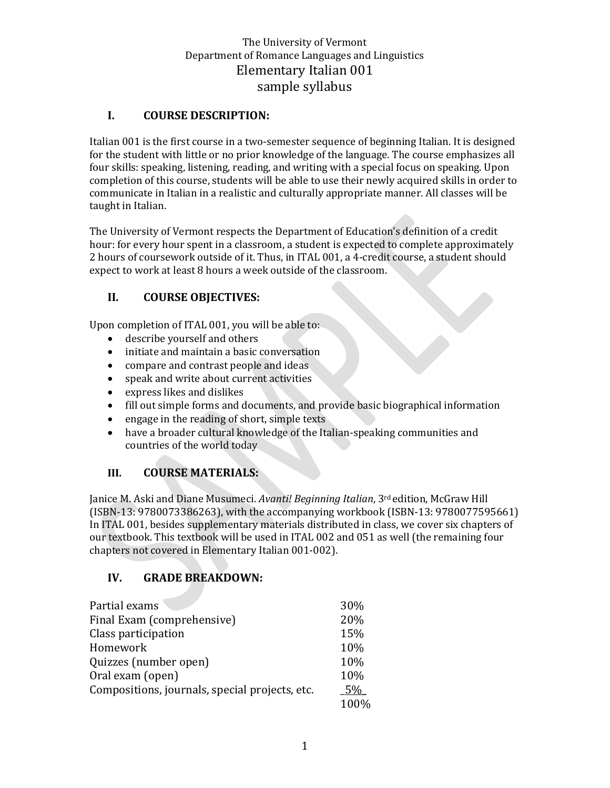## **I. COURSE DESCRIPTION:**

Italian 001 is the first course in a two-semester sequence of beginning Italian. It is designed for the student with little or no prior knowledge of the language. The course emphasizes all four skills: speaking, listening, reading, and writing with a special focus on speaking. Upon completion of this course, students will be able to use their newly acquired skills in order to communicate in Italian in a realistic and culturally appropriate manner. All classes will be taught in Italian.

The University of Vermont respects the Department of Education's definition of a credit hour: for every hour spent in a classroom, a student is expected to complete approximately 2 hours of coursework outside of it. Thus, in ITAL 001, a 4-credit course, a student should expect to work at least 8 hours a week outside of the classroom.

# **II. COURSE OBJECTIVES:**

Upon completion of ITAL 001, you will be able to:

- describe yourself and others
- initiate and maintain a basic conversation
- compare and contrast people and ideas
- speak and write about current activities
- express likes and dislikes
- fill out simple forms and documents, and provide basic biographical information
- engage in the reading of short, simple texts
- have a broader cultural knowledge of the Italian-speaking communities and countries of the world today

### **III. COURSE MATERIALS:**

Janice M. Aski and Diane Musumeci. *Avanti! Beginning Italian*, 3rd edition, McGraw Hill (ISBN-13: 9780073386263), with the accompanying workbook (ISBN-13: 9780077595661) In ITAL 001, besides supplementary materials distributed in class, we cover six chapters of our textbook. This textbook will be used in ITAL 002 and 051 as well (the remaining four chapters not covered in Elementary Italian 001-002).

### **IV. GRADE BREAKDOWN:**

| Partial exams                                  | 30%  |
|------------------------------------------------|------|
| Final Exam (comprehensive)                     | 20%  |
| Class participation                            | 15%  |
| Homework                                       | 10%  |
| Quizzes (number open)                          | 10%  |
| Oral exam (open)                               | 10%  |
| Compositions, journals, special projects, etc. | .5%  |
|                                                | 100% |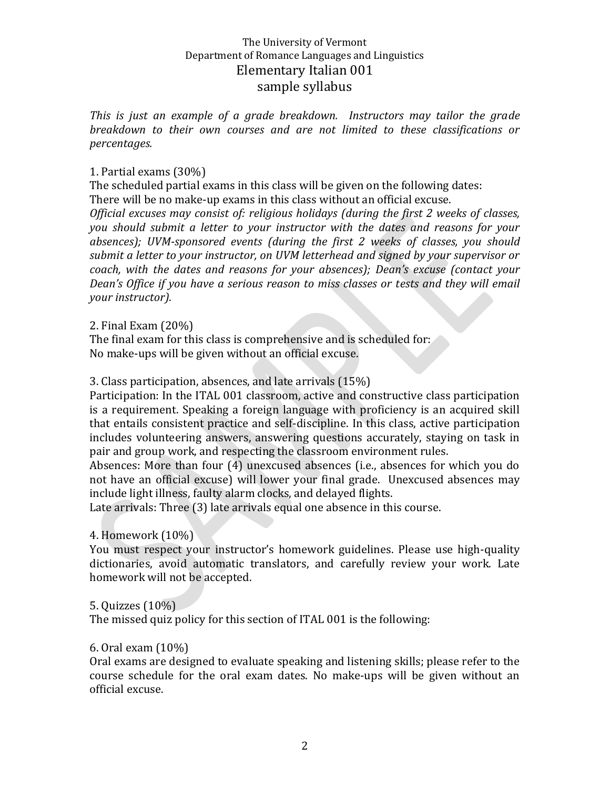*This is just an example of a grade breakdown. Instructors may tailor the grade breakdown to their own courses and are not limited to these classifications or percentages.*

#### 1. Partial exams (30%)

The scheduled partial exams in this class will be given on the following dates: There will be no make-up exams in this class without an official excuse.

*Official excuses may consist of: religious holidays (during the first 2 weeks of classes, you should submit a letter to your instructor with the dates and reasons for your absences); UVM-sponsored events (during the first 2 weeks of classes, you should submit a letter to your instructor, on UVM letterhead and signed by your supervisor or coach, with the dates and reasons for your absences); Dean's excuse (contact your Dean's Office if you have a serious reason to miss classes or tests and they will email your instructor).*

2. Final Exam (20%)

The final exam for this class is comprehensive and is scheduled for: No make-ups will be given without an official excuse.

3. Class participation, absences, and late arrivals (15%)

Participation: In the ITAL 001 classroom, active and constructive class participation is a requirement. Speaking a foreign language with proficiency is an acquired skill that entails consistent practice and self-discipline. In this class, active participation includes volunteering answers, answering questions accurately, staying on task in pair and group work, and respecting the classroom environment rules.

Absences: More than four (4) unexcused absences (i.e., absences for which you do not have an official excuse) will lower your final grade. Unexcused absences may include light illness, faulty alarm clocks, and delayed flights.

Late arrivals: Three (3) late arrivals equal one absence in this course.

#### 4. Homework (10%)

You must respect your instructor's homework guidelines. Please use high-quality dictionaries, avoid automatic translators, and carefully review your work. Late homework will not be accepted.

5. Quizzes (10%)

The missed quiz policy for this section of ITAL 001 is the following:

#### 6. Oral exam (10%)

Oral exams are designed to evaluate speaking and listening skills; please refer to the course schedule for the oral exam dates. No make-ups will be given without an official excuse.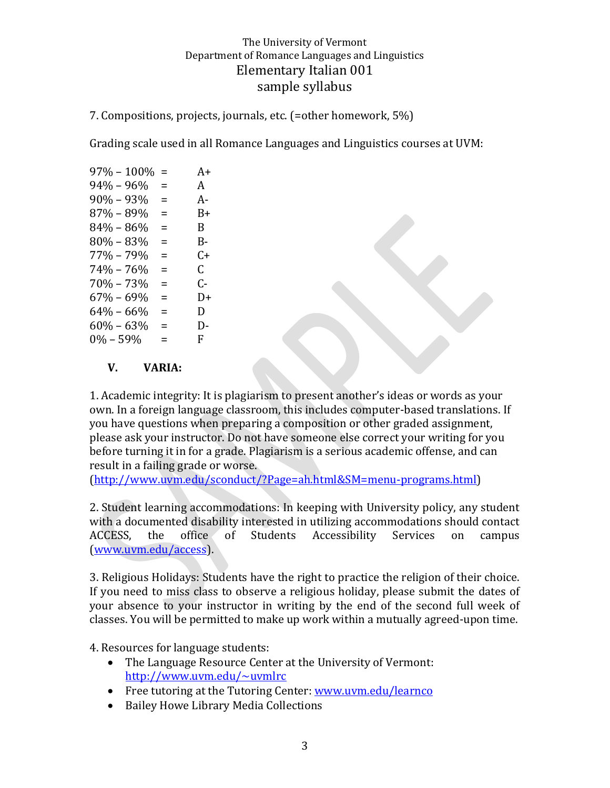7. Compositions, projects, journals, etc. (=other homework, 5%)

Grading scale used in all Romance Languages and Linguistics courses at UVM:

| $97\% - 100\%$ | $=$      | $A+$ |
|----------------|----------|------|
| $94\% - 96\%$  | =        | A    |
| $90\% - 93\%$  | $\equiv$ | А-   |
| 87% – 89%      | Ξ        | B+   |
| $84\% - 86\%$  | $\equiv$ | B.   |
| $80\% - 83\%$  | $\equiv$ | B-   |
| $77\% - 79\%$  | =        | C+   |
| 74% - 76%      | =        | C.   |
| $70\% - 73\%$  | $\equiv$ | ር-   |
| $67\% - 69\%$  | =        | $1+$ |
| $64\% - 66\%$  | Ξ        | D    |
| $60\% - 63\%$  | $\equiv$ | D-   |
| $0\% - 59\%$   | =        | F.   |
|                |          |      |

#### **V. VARIA:**

1. Academic integrity: It is plagiarism to present another's ideas or words as your own. In a foreign language classroom, this includes computer-based translations. If you have questions when preparing a composition or other graded assignment, please ask your instructor. Do not have someone else correct your writing for you before turning it in for a grade. Plagiarism is a serious academic offense, and can result in a failing grade or worse.

[\(http://www.uvm.edu/sconduct/?Page=ah.html&SM=menu-programs.html\)](http://www.uvm.edu/sconduct/?Page=ah.html&SM=menu-programs.html)

2. Student learning accommodations: In keeping with University policy, any student with a documented disability interested in utilizing accommodations should contact ACCESS, the office of Students Accessibility Services on campus [\(www.uvm.edu/access\)](http://www.uvm.edu/access).

3. Religious Holidays: Students have the right to practice the religion of their choice. If you need to miss class to observe a religious holiday, please submit the dates of your absence to your instructor in writing by the end of the second full week of classes. You will be permitted to make up work within a mutually agreed-upon time.

4. Resources for language students:

- The Language Resource Center at the University of Vermont: <http://www.uvm.edu/~uvmlrc>
- Free tutoring at the Tutoring Center: [www.uvm.edu/learnco](http://www.uvm.edu/learnco)
- Bailey Howe Library Media Collections